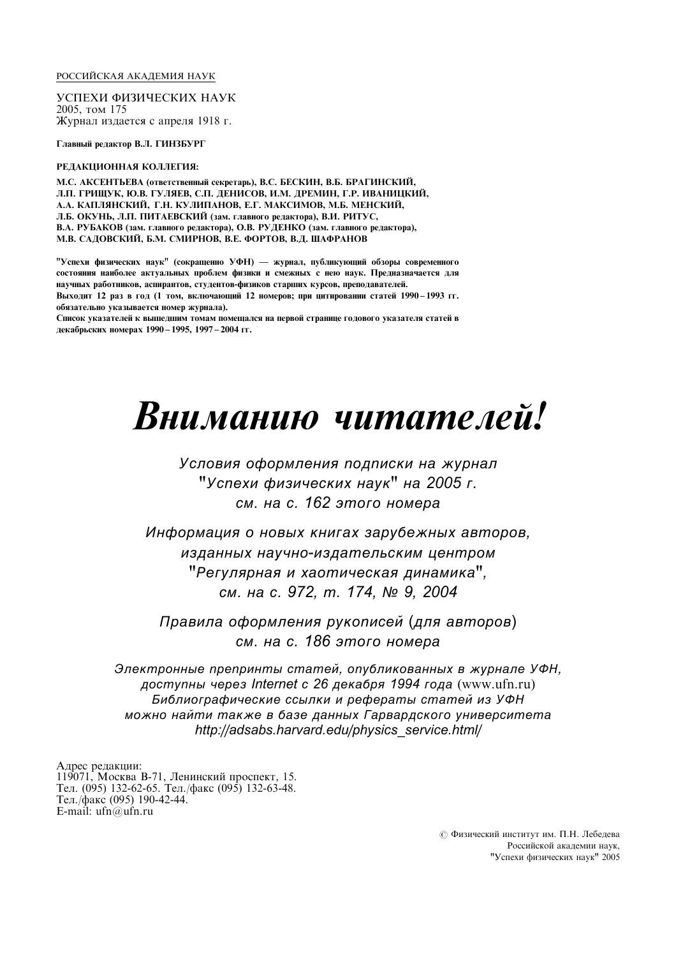#### РОССИЙСКАЯ АКАДЕМИЯ НАУК

УСПЕХИ ФИЗИЧЕСКИХ НАУК 2005, том 175 Журнал издается с апреля 1918 г.

Главный редактор В.Л. ГИНЗБУРГ

#### РЕДАКЦИОННАЯ КОЛЛЕГИЯ:

М.С. АКСЕНТЬЕВА (ОТВЕТСТВЕННЫЙ СЕКРЕТАРЬ), В.С. БЕСКИН, В.Б. БРАГИНСКИЙ, Л.П. ГРИЩУК, Ю.В. ГУЛЯЕВ, С.П. ДЕНИСОВ, И.М. ДРЕМИН, Г.Р. ИВАНИЦКИЙ, А.А. КАПЛЯНСКИЙ, Г.Н. КУЛИПАНОВ, Е.Г. МАКСИМОВ, М.Б. МЕНСКИЙ, Л.Б. ОКУНЬ, Л.П. ПИТАЕВСКИЙ (зам. главного редактора), В.И. РИТУС, В.А. РУБАКОВ (зам. главного редактора), О.В. РУДЕНКО (зам. главного редактора), М.В. САДОВСКИЙ, Б.М. СМИРНОВ, В.Е. ФОРТОВ, В.Д. ШАФРАНОВ

"Успехи физических наук" (сокращенно УФН) — журнал, публикующий обзоры современного состояния наиболее актуальных проблем физики и смежных с нею наук. Предназначается для научных работников, аспирантов, студентов-физиков старших курсов, преполавателей. Выходит 12 раз в год (1 том, включающий 12 номеров; при цитировании статей 1990-1993 гг.

обязательно указывается номер журнала). Список указателей к вышедшим томам помещался на первой странице годового указателя статей в

декабрьских номерах 1990 – 1995, 1997 – 2004 гг.

# **B**ниманию читателей!

Условия оформления подписки на журнал "Успехи физических наук" на 2005 г. см. на с. 162 этого номера

Информация о новых книгах зарубежных авторов. изданных научно-издательским центром "Регулярная и хаотическая динамика", см. на с. 972, т. 174, № 9, 2004

Правила оформления рукописей (для авторов) см. на с. 186 этого номера

Электронные препринты статей, опубликованных в журнале УФН. доступны через Internet с 26 декабря 1994 года (www.ufn.ru) Библиографические ссылки и рефераты статей из УФН можно найти также в базе данных Гарвардского университета http://adsabs.harvard.edu/physics\_service.html/

Адрес редакции: 119071, Москва В-71, Ленинский проспект, 15. Тел. (095) 132-62-65. Тел./факс (095) 132-63-48. Тел./факс (095) 190-42-44. E-mail: ufn@ufn.ru

> © Физический институт им. П.Н. Лебедева Российской академии наук, "Успехи физических наук" 2005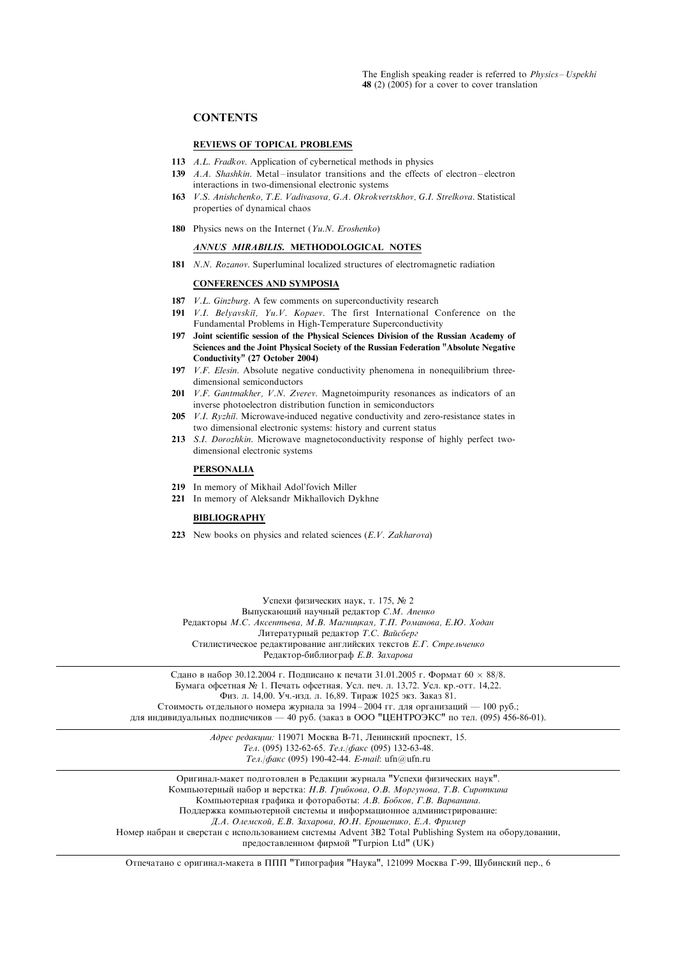# **CONTENTS**

## REVIEWS OF TOPICAL PROBLEMS

- 113 A.L. Fradkov. Application of cybernetical methods in physics
- 139  $A.A. Shashkin. Metal-inlator transitions and the effects of electron-electron$ interactions in two-dimensional electronic systems
- 163 V.S. Anishchenko, T.E. Vadivasova, G.A. Okrokvertskhov, G.I. Strelkova. Statistical properties of dynamical chaos
- 180 Physics news on the Internet  $(Yu.N. Eroshenko)$

## ANNUS MIRABILIS. METHODOLOGICAL NOTES

181 N.N. Rozanov. Superluminal localized structures of electromagnetic radiation

#### CONFERENCES AND SYMPOSIA

- 187 *V.L. Ginzburg.* A few comments on superconductivity research
- 191 V.I. Belyavskii, Yu.V. Kopaev. The first International Conference on the Fundamental Problems in High-Temperature Superconductivity
- 197 Joint scientific session of the Physical Sciences Division of the Russian Academy of Sciences and the Joint Physical Society of the Russian Federation "Absolute Negative Conductivity" (27 October 2004)
- 197 *V.F. Elesin.* Absolute negative conductivity phenomena in nonequilibrium threedimensional semiconductors
- 201 *V.F. Gantmakher, V.N. Zverev.* Magnetoimpurity resonances as indicators of an inverse photoelectron distribution function in semiconductors
- 205 *V.I. Ryzhii*. Microwave-induced negative conductivity and zero-resistance states in two dimensional electronic systems: history and current status
- 213 S.I. Dorozhkin. Microwave magnetoconductivity response of highly perfect twodimensional electronic systems

# PERSONALIA

- 219 In memory of Mikhail Adol'fovich Miller
- 221 In memory of Aleksandr Mikhaĭlovich Dykhne

## BIBLIOGRAPHY

223 New books on physics and related sciences  $(E.V. Zakharova)$ 

Успехи физических наук, т. 175, № 2 Выпускающий научный редактор С.М. Апенко Редакторы М.С. Аксентьева, М.В. Магницкая, Т.П. Романова, Е.Ю. Ходан Литературный редактор Т.С. Вайсберг Стилистическое редактирование английских текстов Е.Г. Стрельченко Редактор-библиограф  $E.B.$  Захарова

Сдано в набор 30.12.2004 г. Подписано к печати 31.01.2005 г. Формат  $60 \times 88/8$ . Бумага офсетная № 1. Печать офсетная. Усл. печ. л. 13,72. Усл. кр.-отт. 14,22. Физ. л. 14,00. Уч.-изл. л. 16,89. Тираж 1025 экз. Заказ 81.

Стоимость отдельного номера журнала за 1994-2004 гг. для организаций — 100 руб.; для индивидуальных подписчиков — 40 руб. (заказ в ООО "ЦЕНТРОЭКС" по тел. (095) 456-86-01).

> Адрес редакции: 119071 Москва В-71, Ленинский проспект, 15. Тел. (095) 132-62-65. Тел./факс (095) 132-63-48. Тел./факс (095) 190-42-44. E-mail: ufn@ufn.ru

Оригинал-макет подготовлен в Редакции журнала "Успехи физических наук" Компьютерный набор и верстка: Н.В. Грибкова, О.В. Моргунова, Т.В. Сироткина Компьютерная графика и фотоработы: А.В. Бобков, Г.В. Варванина. Поддержка компьютерной системы и информационное администрирование: Д.А. Олемской, Е.В. Захарова, Ю.Н. Ерошенико, Е.А. Фример

Номер набран и сверстан с использованием системы Advent 3B2 Total Publishing System на оборудовании,

предоставленном фирмой "Turpion Ltd" (UK)

Отпечатано с оригинал-макета в ППП "Типография "Наука", 121099 Москва Г-99, Шубинский пер., 6